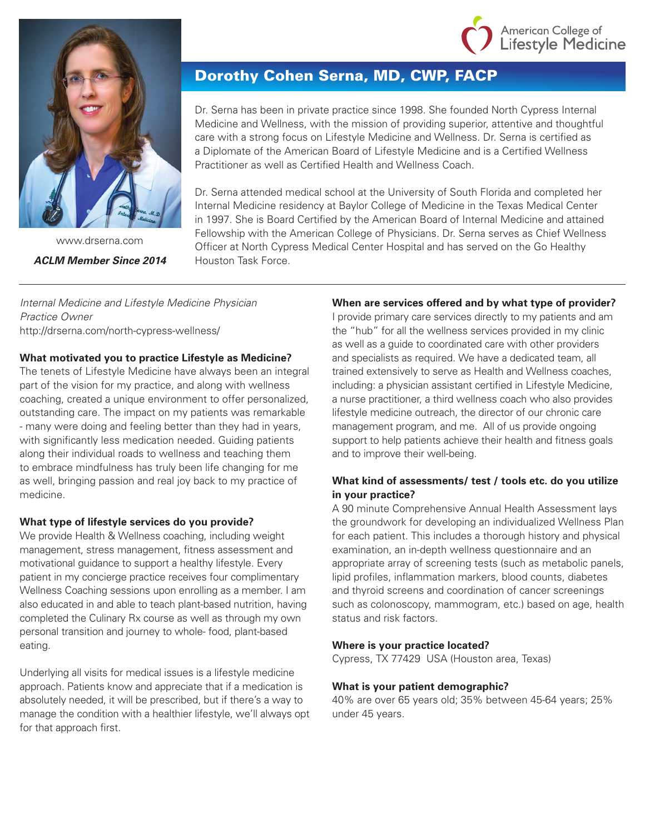



www.drserna.com *ACLM Member Since 2014*

# Dorothy Cohen Serna, MD, CWP, FACP

Dr. Serna has been in private practice since 1998. She founded North Cypress Internal Medicine and Wellness, with the mission of providing superior, attentive and thoughtful care with a strong focus on Lifestyle Medicine and Wellness. Dr. Serna is certified as a Diplomate of the American Board of Lifestyle Medicine and is a Certified Wellness Practitioner as well as Certified Health and Wellness Coach.

Dr. Serna attended medical school at the University of South Florida and completed her Internal Medicine residency at Baylor College of Medicine in the Texas Medical Center in 1997. She is Board Certified by the American Board of Internal Medicine and attained Fellowship with the American College of Physicians. Dr. Serna serves as Chief Wellness Officer at North Cypress Medical Center Hospital and has served on the Go Healthy Houston Task Force.

*Internal Medicine and Lifestyle Medicine Physician Practice Owner* http://drserna.com/north-cypress-wellness/

## **What motivated you to practice Lifestyle as Medicine?**

The tenets of Lifestyle Medicine have always been an integral part of the vision for my practice, and along with wellness coaching, created a unique environment to offer personalized, outstanding care. The impact on my patients was remarkable - many were doing and feeling better than they had in years, with significantly less medication needed. Guiding patients along their individual roads to wellness and teaching them to embrace mindfulness has truly been life changing for me as well, bringing passion and real joy back to my practice of medicine.

## **What type of lifestyle services do you provide?**

We provide Health & Wellness coaching, including weight management, stress management, fitness assessment and motivational guidance to support a healthy lifestyle. Every patient in my concierge practice receives four complimentary Wellness Coaching sessions upon enrolling as a member. I am also educated in and able to teach plant-based nutrition, having completed the Culinary Rx course as well as through my own personal transition and journey to whole- food, plant-based eating.

Underlying all visits for medical issues is a lifestyle medicine approach. Patients know and appreciate that if a medication is absolutely needed, it will be prescribed, but if there's a way to manage the condition with a healthier lifestyle, we'll always opt for that approach first.

## **When are services offered and by what type of provider?**

I provide primary care services directly to my patients and am the "hub" for all the wellness services provided in my clinic as well as a guide to coordinated care with other providers and specialists as required. We have a dedicated team, all trained extensively to serve as Health and Wellness coaches, including: a physician assistant certified in Lifestyle Medicine, a nurse practitioner, a third wellness coach who also provides lifestyle medicine outreach, the director of our chronic care management program, and me. All of us provide ongoing support to help patients achieve their health and fitness goals and to improve their well-being.

# **What kind of assessments/ test / tools etc. do you utilize in your practice?**

A 90 minute Comprehensive Annual Health Assessment lays the groundwork for developing an individualized Wellness Plan for each patient. This includes a thorough history and physical examination, an in-depth wellness questionnaire and an appropriate array of screening tests (such as metabolic panels, lipid profiles, inflammation markers, blood counts, diabetes and thyroid screens and coordination of cancer screenings such as colonoscopy, mammogram, etc.) based on age, health status and risk factors.

#### **Where is your practice located?**

Cypress, TX 77429 USA (Houston area, Texas)

#### **What is your patient demographic?**

40% are over 65 years old; 35% between 45-64 years; 25% under 45 years.